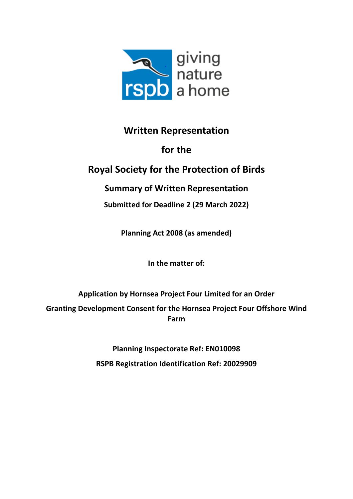

## **Written Representation**

# **for the**

# **Royal Society for the Protection of Birds**

## **Summary of Written Representation**

**Submitted for Deadline 2 (29 March 2022)**

**Planning Act 2008 (as amended)**

**In the matter of:**

**Application by Hornsea Project Four Limited for an Order**

**Granting Development Consent for the Hornsea Project Four Offshore Wind Farm**

> **Planning Inspectorate Ref: EN010098 RSPB Registration Identification Ref: 20029909**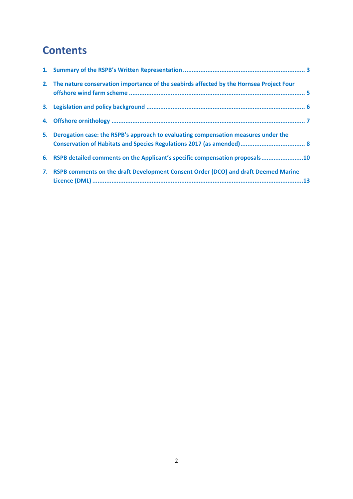# **Contents**

| 2. The nature conservation importance of the seabirds affected by the Hornsea Project Four |  |
|--------------------------------------------------------------------------------------------|--|
|                                                                                            |  |
|                                                                                            |  |
| 5. Derogation case: the RSPB's approach to evaluating compensation measures under the      |  |
| 6. RSPB detailed comments on the Applicant's specific compensation proposals10             |  |
| 7. RSPB comments on the draft Development Consent Order (DCO) and draft Deemed Marine      |  |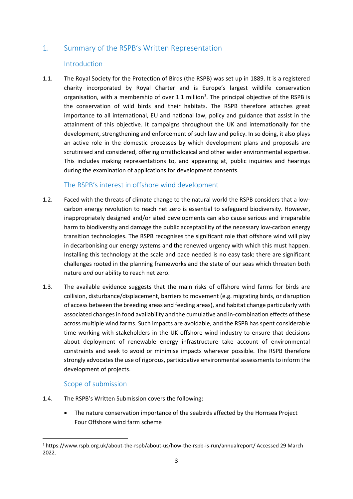#### <span id="page-2-0"></span>1. Summary of the RSPB's Written Representation

#### Introduction

1.1. The Royal Society for the Protection of Birds (the RSPB) was set up in 1889. It is a registered charity incorporated by Royal Charter and is Europe's largest wildlife conservation organisation, with a membership of over 1.1 million<sup>1</sup>. The principal objective of the RSPB is the conservation of wild birds and their habitats. The RSPB therefore attaches great importance to all international, EU and national law, policy and guidance that assist in the attainment of this objective. It campaigns throughout the UK and internationally for the development, strengthening and enforcement of such law and policy. In so doing, it also plays an active role in the domestic processes by which development plans and proposals are scrutinised and considered, offering ornithological and other wider environmental expertise. This includes making representations to, and appearing at, public inquiries and hearings during the examination of applications for development consents.

#### The RSPB's interest in offshore wind development

- 1.2. Faced with the threats of climate change to the natural world the RSPB considers that a lowcarbon energy revolution to reach net zero is essential to safeguard biodiversity. However, inappropriately designed and/or sited developments can also cause serious and irreparable harm to biodiversity and damage the public acceptability of the necessary low-carbon energy transition technologies. The RSPB recognises the significant role that offshore wind will play in decarbonising our energy systems and the renewed urgency with which this must happen. Installing this technology at the scale and pace needed is no easy task: there are significant challenges rooted in the planning frameworks and the state of our seas which threaten both nature *and* our ability to reach net zero.
- 1.3. The available evidence suggests that the main risks of offshore wind farms for birds are collision, disturbance/displacement, barriers to movement (e.g. migrating birds, or disruption of access between the breeding areas and feeding areas), and habitat change particularly with associated changes in food availability and the cumulative and in-combination effects of these across multiple wind farms. Such impacts are avoidable, and the RSPB has spent considerable time working with stakeholders in the UK offshore wind industry to ensure that decisions about deployment of renewable energy infrastructure take account of environmental constraints and seek to avoid or minimise impacts wherever possible. The RSPB therefore strongly advocates the use of rigorous, participative environmental assessments to inform the development of projects.

#### Scope of submission

- 1.4. The RSPB's Written Submission covers the following:
	- The nature conservation importance of the seabirds affected by the Hornsea Project Four Offshore wind farm scheme

<sup>1</sup> <https://www.rspb.org.uk/about-the-rspb/about-us/how-the-rspb-is-run/annualreport/> Accessed 29 March 2022.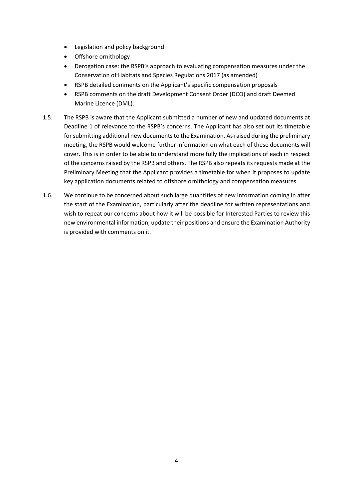- Legislation and policy background
- Offshore ornithology
- Derogation case: the RSPB's approach to evaluating compensation measures under the Conservation of Habitats and Species Regulations 2017 (as amended)
- RSPB detailed comments on the Applicant's specific compensation proposals
- RSPB comments on the draft Development Consent Order (DCO) and draft Deemed Marine Licence (DML).
- 1.5. The RSPB is aware that the Applicant submitted a number of new and updated documents at Deadline 1 of relevance to the RSPB's concerns. The Applicant has also set out its timetable for submitting additional new documents to the Examination. As raised during the preliminary meeting, the RSPB would welcome further information on what each of these documents will cover. This is in order to be able to understand more fully the implications of each in respect of the concerns raised by the RSPB and others. The RSPB also repeats its requests made at the Preliminary Meeting that the Applicant provides a timetable for when it proposes to update key application documents related to offshore ornithology and compensation measures.
- 1.6. We continue to be concerned about such large quantities of new information coming in after the start of the Examination, particularly after the deadline for written representations and wish to repeat our concerns about how it will be possible for Interested Parties to review this new environmental information, update their positions and ensure the Examination Authority is provided with comments on it.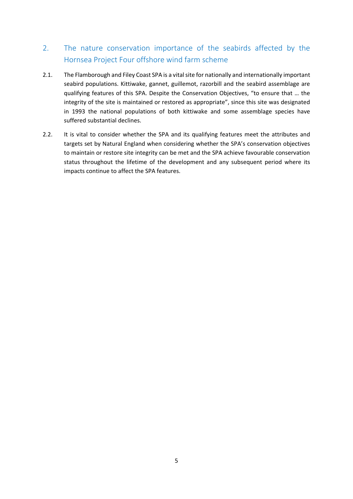### <span id="page-4-0"></span>2. The nature conservation importance of the seabirds affected by the Hornsea Project Four offshore wind farm scheme

- 2.1. The Flamborough and Filey Coast SPA is a vital site for nationally and internationally important seabird populations. Kittiwake, gannet, guillemot, razorbill and the seabird assemblage are qualifying features of this SPA. Despite the Conservation Objectives, "to ensure that … the integrity of the site is maintained or restored as appropriate", since this site was designated in 1993 the national populations of both kittiwake and some assemblage species have suffered substantial declines.
- 2.2. It is vital to consider whether the SPA and its qualifying features meet the attributes and targets set by Natural England when considering whether the SPA's conservation objectives to maintain or restore site integrity can be met and the SPA achieve favourable conservation status throughout the lifetime of the development and any subsequent period where its impacts continue to affect the SPA features.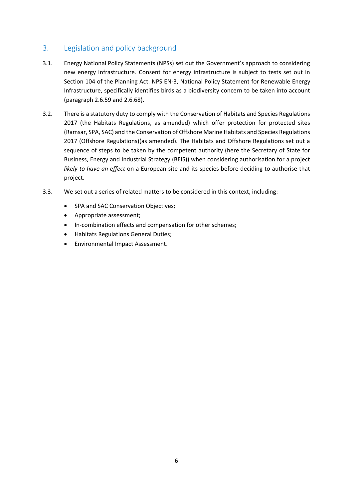#### <span id="page-5-0"></span>3. Legislation and policy background

- 3.1. Energy National Policy Statements (NPSs) set out the Government's approach to considering new energy infrastructure. Consent for energy infrastructure is subject to tests set out in Section 104 of the Planning Act. NPS EN-3, National Policy Statement for Renewable Energy Infrastructure, specifically identifies birds as a biodiversity concern to be taken into account (paragraph 2.6.59 and 2.6.68).
- 3.2. There is a statutory duty to comply with the Conservation of Habitats and Species Regulations 2017 (the Habitats Regulations, as amended) which offer protection for protected sites (Ramsar, SPA, SAC) and the Conservation of Offshore Marine Habitats and Species Regulations 2017 (Offshore Regulations)(as amended). The Habitats and Offshore Regulations set out a sequence of steps to be taken by the competent authority (here the Secretary of State for Business, Energy and Industrial Strategy (BEIS)) when considering authorisation for a project *likely to have an effect* on a European site and its species before deciding to authorise that project.
- 3.3. We set out a series of related matters to be considered in this context, including:
	- SPA and SAC Conservation Objectives;
	- Appropriate assessment;
	- In-combination effects and compensation for other schemes;
	- Habitats Regulations General Duties;
	- Environmental Impact Assessment.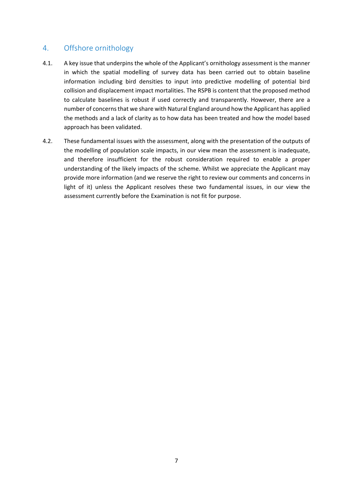#### <span id="page-6-0"></span>4. Offshore ornithology

- 4.1. A key issue that underpins the whole of the Applicant's ornithology assessment is the manner in which the spatial modelling of survey data has been carried out to obtain baseline information including bird densities to input into predictive modelling of potential bird collision and displacement impact mortalities. The RSPB is content that the proposed method to calculate baselines is robust if used correctly and transparently. However, there are a number of concerns that we share with Natural England around how the Applicant has applied the methods and a lack of clarity as to how data has been treated and how the model based approach has been validated.
- 4.2. These fundamental issues with the assessment, along with the presentation of the outputs of the modelling of population scale impacts, in our view mean the assessment is inadequate, and therefore insufficient for the robust consideration required to enable a proper understanding of the likely impacts of the scheme. Whilst we appreciate the Applicant may provide more information (and we reserve the right to review our comments and concerns in light of it) unless the Applicant resolves these two fundamental issues, in our view the assessment currently before the Examination is not fit for purpose.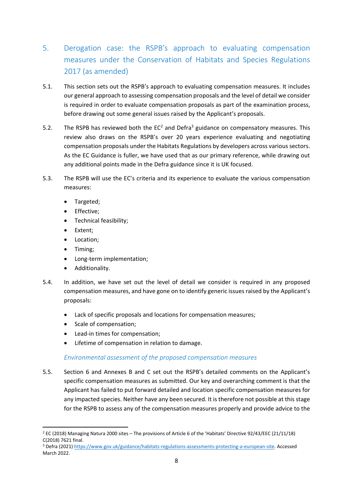- <span id="page-7-0"></span>5. Derogation case: the RSPB's approach to evaluating compensation measures under the Conservation of Habitats and Species Regulations 2017 (as amended)
- 5.1. This section sets out the RSPB's approach to evaluating compensation measures. It includes our general approach to assessing compensation proposals and the level of detail we consider is required in order to evaluate compensation proposals as part of the examination process, before drawing out some general issues raised by the Applicant's proposals.
- 5.2. The RSPB has reviewed both the  $EC^2$  and Defra<sup>3</sup> guidance on compensatory measures. This review also draws on the RSPB's over 20 years experience evaluating and negotiating compensation proposals under the Habitats Regulations by developers across various sectors. As the EC Guidance is fuller, we have used that as our primary reference, while drawing out any additional points made in the Defra guidance since it is UK focused.
- 5.3. The RSPB will use the EC's criteria and its experience to evaluate the various compensation measures:
	- Targeted;
	- Effective;
	- Technical feasibility;
	- Extent;
	- Location;
	- Timing;
	- Long-term implementation;
	- Additionality.
- 5.4. In addition, we have set out the level of detail we consider is required in any proposed compensation measures, and have gone on to identify generic issues raised by the Applicant's proposals:
	- Lack of specific proposals and locations for compensation measures;
	- Scale of compensation;
	- Lead-in times for compensation;
	- Lifetime of compensation in relation to damage.

#### *Environmental assessment of the proposed compensation measures*

5.5. Section 6 and Annexes B and C set out the RSPB's detailed comments on the Applicant's specific compensation measures as submitted. Our key and overarching comment is that the Applicant has failed to put forward detailed and location specific compensation measures for any impacted species. Neither have any been secured. It is therefore not possible at this stage for the RSPB to assess any of the compensation measures properly and provide advice to the

<sup>2</sup> EC (2018) Managing Natura 2000 sites – The provisions of Article 6 of the 'Habitats' Directive 92/43/EEC (21/11/18) C(2018) 7621 final.

<sup>&</sup>lt;sup>3</sup> Defra (2021[\) https://www.gov.uk/guidance/habitats-regulations-assessments-protecting-a-european-site.](https://www.gov.uk/guidance/habitats-regulations-assessments-protecting-a-european-site) Accessed March 2022.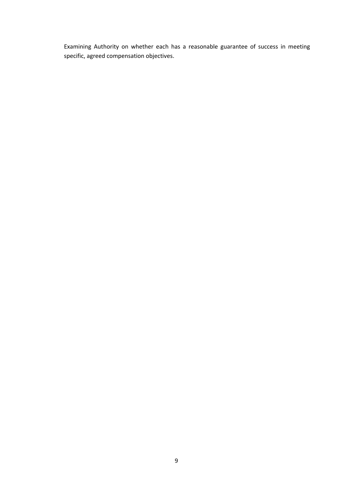Examining Authority on whether each has a reasonable guarantee of success in meeting specific, agreed compensation objectives.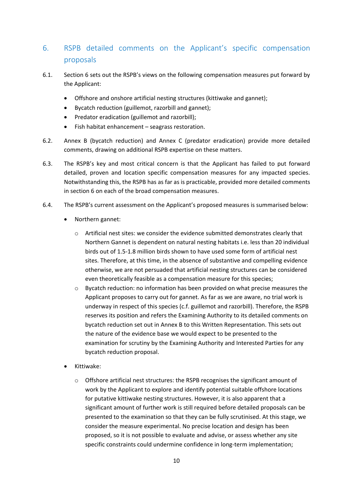### <span id="page-9-0"></span>6. RSPB detailed comments on the Applicant's specific compensation proposals

- 6.1. Section 6 sets out the RSPB's views on the following compensation measures put forward by the Applicant:
	- Offshore and onshore artificial nesting structures (kittiwake and gannet);
	- Bycatch reduction (guillemot, razorbill and gannet);
	- Predator eradication (guillemot and razorbill);
	- Fish habitat enhancement seagrass restoration.
- 6.2. Annex B (bycatch reduction) and Annex C (predator eradication) provide more detailed comments, drawing on additional RSPB expertise on these matters.
- 6.3. The RSPB's key and most critical concern is that the Applicant has failed to put forward detailed, proven and location specific compensation measures for any impacted species. Notwithstanding this, the RSPB has as far as is practicable, provided more detailed comments in section 6 on each of the broad compensation measures.
- 6.4. The RSPB's current assessment on the Applicant's proposed measures is summarised below:
	- Northern gannet:
		- $\circ$  Artificial nest sites: we consider the evidence submitted demonstrates clearly that Northern Gannet is dependent on natural nesting habitats i.e. less than 20 individual birds out of 1.5-1.8 million birds shown to have used some form of artificial nest sites. Therefore, at this time, in the absence of substantive and compelling evidence otherwise, we are not persuaded that artificial nesting structures can be considered even theoretically feasible as a compensation measure for this species;
		- o Bycatch reduction: no information has been provided on what precise measures the Applicant proposes to carry out for gannet. As far as we are aware, no trial work is underway in respect of this species (c.f. guillemot and razorbill). Therefore, the RSPB reserves its position and refers the Examining Authority to its detailed comments on bycatch reduction set out in Annex B to this Written Representation. This sets out the nature of the evidence base we would expect to be presented to the examination for scrutiny by the Examining Authority and Interested Parties for any bycatch reduction proposal.
	- Kittiwake:
		- $\circ$  Offshore artificial nest structures: the RSPB recognises the significant amount of work by the Applicant to explore and identify potential suitable offshore locations for putative kittiwake nesting structures. However, it is also apparent that a significant amount of further work is still required before detailed proposals can be presented to the examination so that they can be fully scrutinised. At this stage, we consider the measure experimental. No precise location and design has been proposed, so it is not possible to evaluate and advise, or assess whether any site specific constraints could undermine confidence in long-term implementation;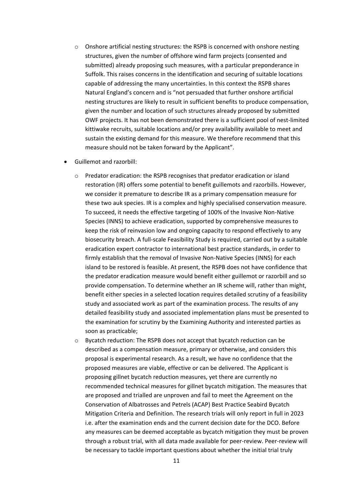- o Onshore artificial nesting structures: the RSPB is concerned with onshore nesting structures, given the number of offshore wind farm projects (consented and submitted) already proposing such measures, with a particular preponderance in Suffolk. This raises concerns in the identification and securing of suitable locations capable of addressing the many uncertainties. In this context the RSPB shares Natural England's concern and is "not persuaded that further onshore artificial nesting structures are likely to result in sufficient benefits to produce compensation, given the number and location of such structures already proposed by submitted OWF projects. It has not been demonstrated there is a sufficient pool of nest-limited kittiwake recruits, suitable locations and/or prey availability available to meet and sustain the existing demand for this measure. We therefore recommend that this measure should not be taken forward by the Applicant".
- Guillemot and razorbill:
	- o Predator eradication: the RSPB recognises that predator eradication or island restoration (IR) offers some potential to benefit guillemots and razorbills. However, we consider it premature to describe IR as a primary compensation measure for these two auk species. IR is a complex and highly specialised conservation measure. To succeed, it needs the effective targeting of 100% of the Invasive Non-Native Species (INNS) to achieve eradication, supported by comprehensive measures to keep the risk of reinvasion low and ongoing capacity to respond effectively to any biosecurity breach. A full-scale Feasibility Study is required, carried out by a suitable eradication expert contractor to international best practice standards, in order to firmly establish that the removal of Invasive Non-Native Species (INNS) for each island to be restored is feasible. At present, the RSPB does not have confidence that the predator eradication measure would benefit either guillemot or razorbill and so provide compensation. To determine whether an IR scheme will, rather than might, benefit either species in a selected location requires detailed scrutiny of a feasibility study and associated work as part of the examination process. The results of any detailed feasibility study and associated implementation plans must be presented to the examination for scrutiny by the Examining Authority and interested parties as soon as practicable;
	- o Bycatch reduction: The RSPB does not accept that bycatch reduction can be described as a compensation measure, primary or otherwise, and considers this proposal is experimental research. As a result, we have no confidence that the proposed measures are viable, effective or can be delivered. The Applicant is proposing gillnet bycatch reduction measures, yet there are currently no recommended technical measures for gillnet bycatch mitigation. The measures that are proposed and trialled are unproven and fail to meet the Agreement on the Conservation of Albatrosses and Petrels (ACAP) Best Practice Seabird Bycatch Mitigation Criteria and Definition. The research trials will only report in full in 2023 i.e. after the examination ends and the current decision date for the DCO. Before any measures can be deemed acceptable as bycatch mitigation they must be proven through a robust trial, with all data made available for peer-review. Peer-review will be necessary to tackle important questions about whether the initial trial truly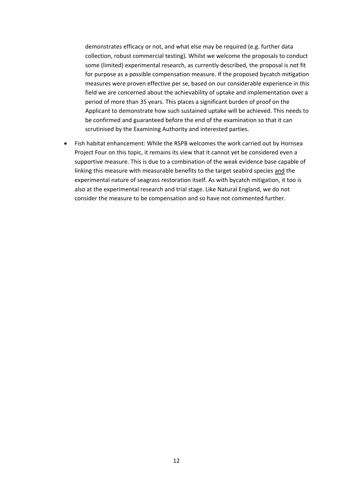demonstrates efficacy or not, and what else may be required (e.g. further data collection, robust commercial testing). Whilst we welcome the proposals to conduct some (limited) experimental research, as currently described, the proposal is not fit for purpose as a possible compensation measure. If the proposed bycatch mitigation measures were proven effective per se, based on our considerable experience in this field we are concerned about the achievability of uptake and implementation over a period of more than 35 years. This places a significant burden of proof on the Applicant to demonstrate how such sustained uptake will be achieved. This needs to be confirmed and guaranteed before the end of the examination so that it can scrutinised by the Examining Authority and interested parties.

• Fish habitat enhancement: While the RSPB welcomes the work carried out by Hornsea Project Four on this topic, it remains its view that it cannot yet be considered even a supportive measure. This is due to a combination of the weak evidence base capable of linking this measure with measurable benefits to the target seabird species and the experimental nature of seagrass restoration itself. As with bycatch mitigation, it too is also at the experimental research and trial stage. Like Natural England, we do not consider the measure to be compensation and so have not commented further.